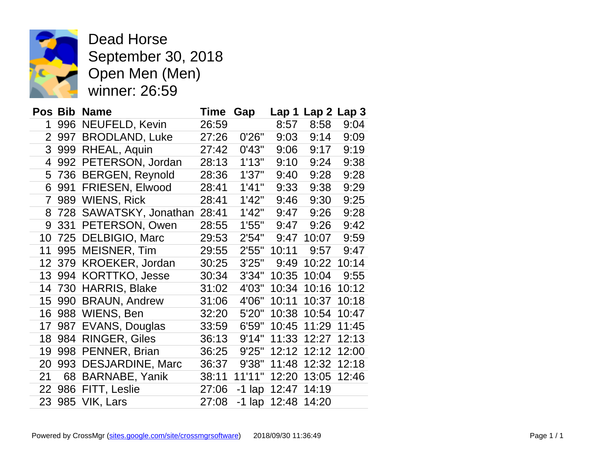

Dead Horse September 30, 2018 Open Men (Men) winner: 26:59

|                |     | Pos Bib Name            | Time  | Gap      |       | Lap 1 Lap 2 Lap 3 |       |
|----------------|-----|-------------------------|-------|----------|-------|-------------------|-------|
| 1              |     | 996 NEUFELD, Kevin      | 26:59 |          | 8:57  | 8:58              | 9:04  |
| $\overline{2}$ | 997 | <b>BRODLAND, Luke</b>   | 27:26 | 0'26"    | 9:03  | 9:14              | 9:09  |
| 3              | 999 | RHEAL, Aquin            | 27:42 | 0'43"    | 9:06  | 9:17              | 9:19  |
| 4              | 992 | PETERSON, Jordan        | 28:13 | 1'13"    | 9:10  | 9:24              | 9:38  |
| 5              | 736 | <b>BERGEN, Reynold</b>  | 28:36 | 1'37"    | 9:40  | 9:28              | 9:28  |
| 6              | 991 | FRIESEN, Elwood         | 28:41 | 1'41"    | 9:33  | 9:38              | 9:29  |
| $\overline{7}$ |     | 989 WIENS, Rick         | 28:41 | 1'42"    | 9:46  | 9:30              | 9:25  |
| 8              |     | 728 SAWATSKY, Jonathan  | 28:41 | 1'42"    | 9:47  | 9:26              | 9:28  |
| 9              | 331 | PETERSON, Owen          | 28:55 | 1'55"    | 9:47  | 9:26              | 9:42  |
| 10             |     | 725 DELBIGIO, Marc      | 29:53 | 2'54"    | 9:47  | 10:07             | 9:59  |
| 11             | 995 | MEISNER, Tim            | 29:55 | 2'55"    | 10:11 | 9:57              | 9:47  |
| 12             | 379 | KROEKER, Jordan         | 30:25 | 3'25"    | 9:49  | 10:22             | 10:14 |
| 13             | 994 | <b>KORTTKO, Jesse</b>   | 30:34 | 3'34"    | 10:35 | 10:04             | 9:55  |
| 14             | 730 | <b>HARRIS, Blake</b>    | 31:02 | 4'03"    | 10:34 | 10:16             | 10:12 |
| 15             | 990 | <b>BRAUN, Andrew</b>    | 31:06 | 4'06"    | 10:11 | 10:37             | 10:18 |
| 16             |     | 988 WIENS, Ben          | 32:20 | 5'20"    | 10:38 | 10:54             | 10:47 |
| 17             | 987 | EVANS, Douglas          | 33:59 | 6'59"    | 10:45 | 11:29             | 11:45 |
| 18             | 984 | <b>RINGER, Giles</b>    | 36:13 | 9'14"    | 11:33 | 12:27             | 12:13 |
| 19             | 998 | PENNER, Brian           | 36:25 | 9'25"    | 12:12 | 12:12             | 12:00 |
| 20             | 993 | <b>DESJARDINE, Marc</b> | 36:37 | 9'38"    | 11:48 | 12:32             | 12:18 |
| 21             | 68  | <b>BARNABE, Yanik</b>   | 38:11 | 11'11"   | 12:20 | 13:05             | 12:46 |
| 22             | 986 | FITT, Leslie            | 27:06 | $-1$ lap | 12:47 | 14:19             |       |
| 23             |     | 985 VIK, Lars           | 27:08 | $-1$ lap | 12:48 | 14:20             |       |